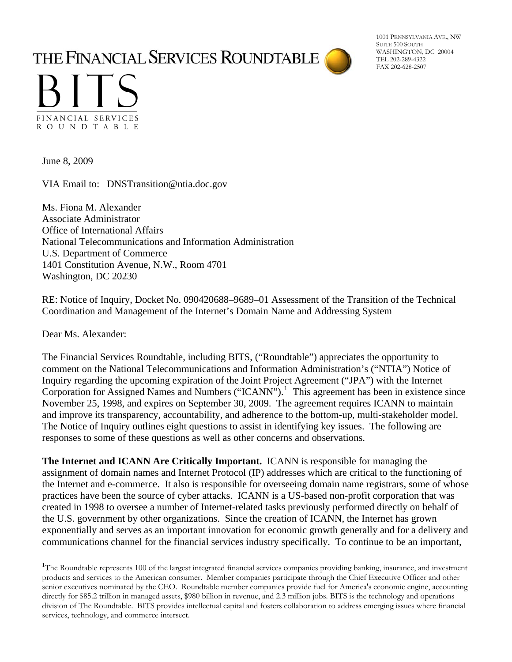## THE FINANCIAL SERVICES ROUNDTABLE

1001 PENNSYLVANIA AVE., NW SUITE 500 SOUTH WASHINGTON, DC 20004 TEL 202-289-4322 FAX 202-628-2507



June 8, 2009

VIA Email to: DNSTransition@ntia.doc.gov

Ms. Fiona M. Alexander Associate Administrator Office of International Affairs National Telecommunications and Information Administration U.S. Department of Commerce 1401 Constitution Avenue, N.W., Room 4701 Washington, DC 20230

RE: Notice of Inquiry, Docket No. 090420688–9689–01 Assessment of the Transition of the Technical Coordination and Management of the Internet's Domain Name and Addressing System

Dear Ms. Alexander:

l

The Financial Services Roundtable, including BITS, ("Roundtable") appreciates the opportunity to comment on the National Telecommunications and Information Administration's ("NTIA") Notice of Inquiry regarding the upcoming expiration of the Joint Project Agreement ("JPA") with the Internet Corporation for Assigned Names and Numbers ("ICANN").<sup>[1](#page-0-0)</sup> This agreement has been in existence since November 25, 1998, and expires on September 30, 2009. The agreement requires ICANN to maintain and improve its transparency, accountability, and adherence to the bottom-up, multi-stakeholder model. The Notice of Inquiry outlines eight questions to assist in identifying key issues. The following are responses to some of these questions as well as other concerns and observations.

**The Internet and ICANN Are Critically Important.** ICANN is responsible for managing the assignment of domain names and Internet Protocol (IP) addresses which are critical to the functioning of the Internet and e-commerce. It also is responsible for overseeing domain name registrars, some of whose practices have been the source of cyber attacks. ICANN is a US-based non-profit corporation that was created in 1998 to oversee a number of Internet-related tasks previously performed directly on behalf of the U.S. government by other organizations. Since the creation of ICANN, the Internet has grown exponentially and serves as an important innovation for economic growth generally and for a delivery and communications channel for the financial services industry specifically. To continue to be an important,

<span id="page-0-0"></span><sup>&</sup>lt;sup>1</sup>The Roundtable represents 100 of the largest integrated financial services companies providing banking, insurance, and investment products and services to the American consumer. Member companies participate through the Chief Executive Officer and other senior executives nominated by the CEO. Roundtable member companies provide fuel for America's economic engine, accounting directly for \$85.2 trillion in managed assets, \$980 billion in revenue, and 2.3 million jobs. BITS is the technology and operations division of The Roundtable. BITS provides intellectual capital and fosters collaboration to address emerging issues where financial services, technology, and commerce intersect.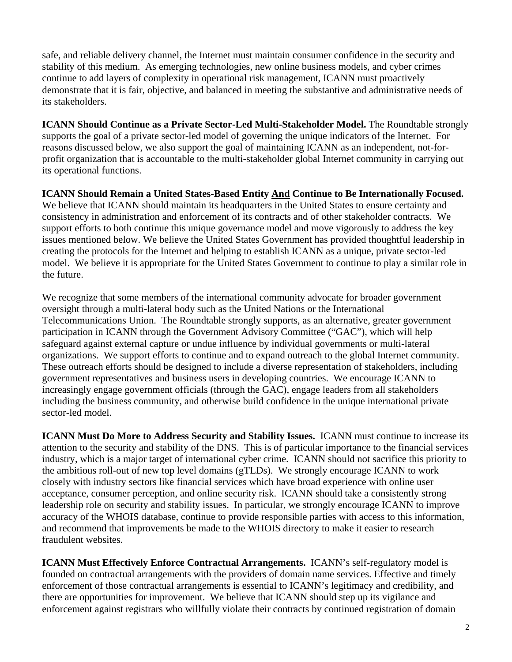safe, and reliable delivery channel, the Internet must maintain consumer confidence in the security and stability of this medium. As emerging technologies, new online business models, and cyber crimes continue to add layers of complexity in operational risk management, ICANN must proactively demonstrate that it is fair, objective, and balanced in meeting the substantive and administrative needs of its stakeholders.

**ICANN Should Continue as a Private Sector-Led Multi-Stakeholder Model.** The Roundtable strongly supports the goal of a private sector-led model of governing the unique indicators of the Internet. For reasons discussed below, we also support the goal of maintaining ICANN as an independent, not-forprofit organization that is accountable to the multi-stakeholder global Internet community in carrying out its operational functions.

**ICANN Should Remain a United States-Based Entity And Continue to Be Internationally Focused.**  We believe that ICANN should maintain its headquarters in the United States to ensure certainty and consistency in administration and enforcement of its contracts and of other stakeholder contracts. We support efforts to both continue this unique governance model and move vigorously to address the key issues mentioned below. We believe the United States Government has provided thoughtful leadership in creating the protocols for the Internet and helping to establish ICANN as a unique, private sector-led model. We believe it is appropriate for the United States Government to continue to play a similar role in the future.

We recognize that some members of the international community advocate for broader government oversight through a multi-lateral body such as the United Nations or the International Telecommunications Union. The Roundtable strongly supports, as an alternative, greater government participation in ICANN through the Government Advisory Committee ("GAC"), which will help safeguard against external capture or undue influence by individual governments or multi-lateral organizations. We support efforts to continue and to expand outreach to the global Internet community. These outreach efforts should be designed to include a diverse representation of stakeholders, including government representatives and business users in developing countries. We encourage ICANN to increasingly engage government officials (through the GAC), engage leaders from all stakeholders including the business community, and otherwise build confidence in the unique international private sector-led model.

**ICANN Must Do More to Address Security and Stability Issues.** ICANN must continue to increase its attention to the security and stability of the DNS. This is of particular importance to the financial services industry, which is a major target of international cyber crime. ICANN should not sacrifice this priority to the ambitious roll-out of new top level domains (gTLDs). We strongly encourage ICANN to work closely with industry sectors like financial services which have broad experience with online user acceptance, consumer perception, and online security risk. ICANN should take a consistently strong leadership role on security and stability issues. In particular, we strongly encourage ICANN to improve accuracy of the WHOIS database, continue to provide responsible parties with access to this information, and recommend that improvements be made to the WHOIS directory to make it easier to research fraudulent websites.

**ICANN Must Effectively Enforce Contractual Arrangements.** ICANN's self-regulatory model is founded on contractual arrangements with the providers of domain name services. Effective and timely enforcement of those contractual arrangements is essential to ICANN's legitimacy and credibility, and there are opportunities for improvement. We believe that ICANN should step up its vigilance and enforcement against registrars who willfully violate their contracts by continued registration of domain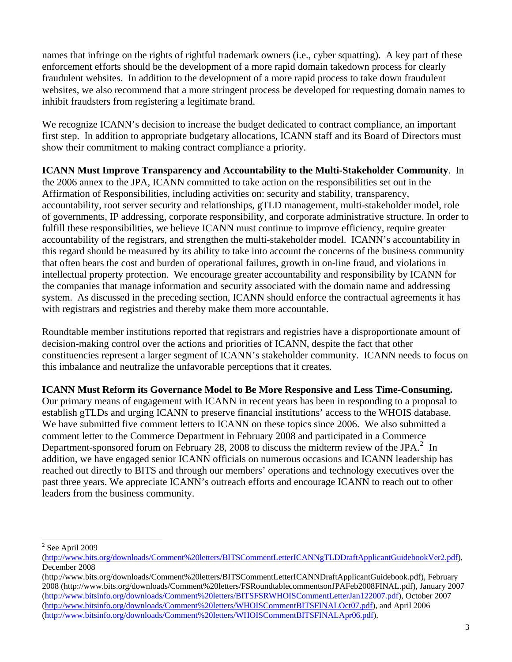names that infringe on the rights of rightful trademark owners (i.e., cyber squatting). A key part of these enforcement efforts should be the development of a more rapid domain takedown process for clearly fraudulent websites. In addition to the development of a more rapid process to take down fraudulent websites, we also recommend that a more stringent process be developed for requesting domain names to inhibit fraudsters from registering a legitimate brand.

We recognize ICANN's decision to increase the budget dedicated to contract compliance, an important first step. In addition to appropriate budgetary allocations, ICANN staff and its Board of Directors must show their commitment to making contract compliance a priority.

**ICANN Must Improve Transparency and Accountability to the Multi-Stakeholder Community**. In the 2006 annex to the JPA, ICANN committed to take action on the responsibilities set out in the Affirmation of Responsibilities, including activities on: security and stability, transparency, accountability, root server security and relationships, gTLD management, multi-stakeholder model, role of governments, IP addressing, corporate responsibility, and corporate administrative structure. In order to fulfill these responsibilities, we believe ICANN must continue to improve efficiency, require greater accountability of the registrars, and strengthen the multi-stakeholder model. ICANN's accountability in this regard should be measured by its ability to take into account the concerns of the business community that often bears the cost and burden of operational failures, growth in on-line fraud, and violations in intellectual property protection. We encourage greater accountability and responsibility by ICANN for the companies that manage information and security associated with the domain name and addressing system. As discussed in the preceding section, ICANN should enforce the contractual agreements it has with registrars and registries and thereby make them more accountable.

Roundtable member institutions reported that registrars and registries have a disproportionate amount of decision-making control over the actions and priorities of ICANN, despite the fact that other constituencies represent a larger segment of ICANN's stakeholder community. ICANN needs to focus on this imbalance and neutralize the unfavorable perceptions that it creates.

**ICANN Must Reform its Governance Model to Be More Responsive and Less Time-Consuming.**

Our primary means of engagement with ICANN in recent years has been in responding to a proposal to establish gTLDs and urging ICANN to preserve financial institutions' access to the WHOIS database. We have submitted five comment letters to ICANN on these topics since 2006. We also submitted a comment letter to the Commerce Department in February 2008 and participated in a Commerce Department-sponsored forum on February [2](#page-2-0)8, 2008 to discuss the midterm review of the JPA. $^2$  In addition, we have engaged senior ICANN officials on numerous occasions and ICANN leadership has reached out directly to BITS and through our members' operations and technology executives over the past three years. We appreciate ICANN's outreach efforts and encourage ICANN to reach out to other leaders from the business community.

l

 $2$  See April 2009

<span id="page-2-0"></span><sup>(</sup>[http://www.bits.org/downloads/Comment%20letters/BITSCommentLetterICANNgTLDDraftApplicantGuidebookVer2.pdf\)](http://www.bits.org/downloads/Comment%20letters/BITSCommentLetterICANNgTLDDraftApplicantGuidebookVer2.pdf), December 2008

<sup>(</sup>http://www.bits.org/downloads/Comment%20letters/BITSCommentLetterICANNDraftApplicantGuidebook.pdf), February 2008 (http://www.bits.org/downloads/Comment%20letters/FSRoundtablecommentsonJPAFeb2008FINAL.pdf), January 2007 ([http://www.bitsinfo.org/downloads/Comment%20letters/BITSFSRWHOISCommentLetterJan122007.pdf\)](http://www.bitsinfo.org/downloads/Comment%20letters/BITSFSRWHOISCommentLetterJan122007.pdf), October 2007 ([http://www.bitsinfo.org/downloads/Comment%20letters/WHOISCommentBITSFINALOct07.pdf\)](http://www.bitsinfo.org/downloads/Comment%20letters/WHOISCommentBITSFINALOct07.pdf), and April 2006 ([http://www.bitsinfo.org/downloads/Comment%20letters/WHOISCommentBITSFINALApr06.pdf\)](http://www.bitsinfo.org/downloads/Comment%20letters/WHOISCommentBITSFINALApr06.pdf).